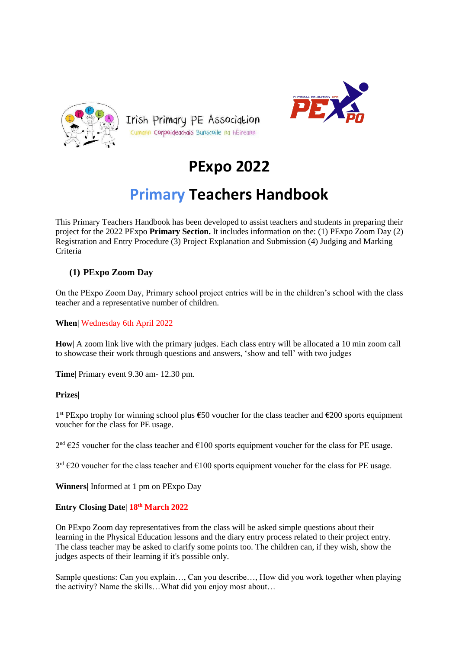





# **PExpo 2022**

## **Primary Teachers Handbook**

This Primary Teachers Handbook has been developed to assist teachers and students in preparing their project for the 2022 PExpo **Primary Section.** It includes information on the: (1) PExpo Zoom Day (2) Registration and Entry Procedure (3) Project Explanation and Submission (4) Judging and Marking Criteria

#### **(1) PExpo Zoom Day**

On the PExpo Zoom Day, Primary school project entries will be in the children's school with the class teacher and a representative number of children.

**When|** Wednesday 6th April 2022

**How**| A zoom link live with the primary judges. Each class entry will be allocated a 10 min zoom call to showcase their work through questions and answers, 'show and tell' with two judges

**Time|** Primary event 9.30 am- 12.30 pm.

#### **Prizes|**

1 st PExpo trophy for winning school plus **€**50 voucher for the class teacher and **€**200 sports equipment voucher for the class for PE usage.

 $2<sup>nd</sup>$  €25 voucher for the class teacher and €100 sports equipment voucher for the class for PE usage.

 $3<sup>rd</sup>$  €20 voucher for the class teacher and €100 sports equipment voucher for the class for PE usage.

**Winners|** Informed at 1 pm on PExpo Day

#### **Entry Closing Date| 18th March 2022**

On PExpo Zoom day representatives from the class will be asked simple questions about their learning in the Physical Education lessons and the diary entry process related to their project entry. The class teacher may be asked to clarify some points too. The children can, if they wish, show the judges aspects of their learning if it's possible only.

Sample questions: Can you explain…, Can you describe…, How did you work together when playing the activity? Name the skills…What did you enjoy most about…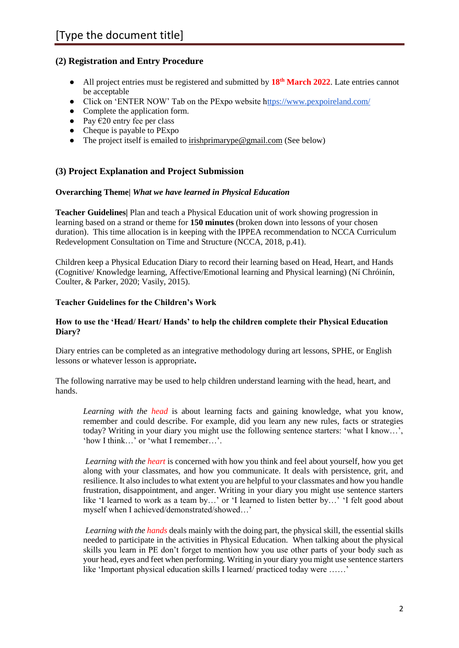#### **(2) Registration and Entry Procedure**

- All project entries must be registered and submitted by **18th March 2022**. Late entries cannot be acceptable
- Click on 'ENTER NOW' Tab on the PExpo website [https://www.pexpoireland.com/](http://www.pexpoireland.com/)
- Complete the application form.
- Pay  $\hat{\epsilon}$ 20 entry fee per class
- Cheque is payable to PExpo
- The project itself is emailed to [irishprimarype@gmail.com](mailto:irishprimarype@gmail.com) (See below)

#### **(3) Project Explanation and Project Submission**

#### **Overarching Theme|** *What we have learned in Physical Education*

**Teacher Guidelines|** Plan and teach a Physical Education unit of work showing progression in learning based on a strand or theme for **150 minutes** (broken down into lessons of your chosen duration). This time allocation is in keeping with the IPPEA recommendation to NCCA Curriculum Redevelopment Consultation on Time and Structure (NCCA, 2018, p.41).

Children keep a Physical Education Diary to record their learning based on Head, Heart, and Hands (Cognitive/ Knowledge learning, Affective/Emotional learning and Physical learning) (Ní Chróinín, Coulter, & Parker, 2020; Vasily, 2015).

#### **Teacher Guidelines for the Children's Work**

#### **How to use the 'Head/ Heart/ Hands' to help the children complete their Physical Education Diary?**

Diary entries can be completed as an integrative methodology during art lessons, SPHE, or English lessons or whatever lesson is appropriate**.**

The following narrative may be used to help children understand learning with the head, heart, and hands.

*Learning with the head* is about learning facts and gaining knowledge, what you know, remember and could describe. For example, did you learn any new rules, facts or strategies today? Writing in your diary you might use the following sentence starters: 'what I know…', 'how I think…' or 'what I remember…'.

*Learning with the heart* is concerned with how you think and feel about yourself, how you get along with your classmates, and how you communicate. It deals with persistence, grit, and resilience. It also includes to what extent you are helpful to your classmates and how you handle frustration, disappointment, and anger. Writing in your diary you might use sentence starters like 'I learned to work as a team by…' or 'I learned to listen better by…' 'I felt good about myself when I achieved/demonstrated/showed…'

*Learning with the hands* deals mainly with the doing part, the physical skill, the essential skills needed to participate in the activities in Physical Education. When talking about the physical skills you learn in PE don't forget to mention how you use other parts of your body such as your head, eyes and feet when performing. Writing in your diary you might use sentence starters like 'Important physical education skills I learned/ practiced today were ……'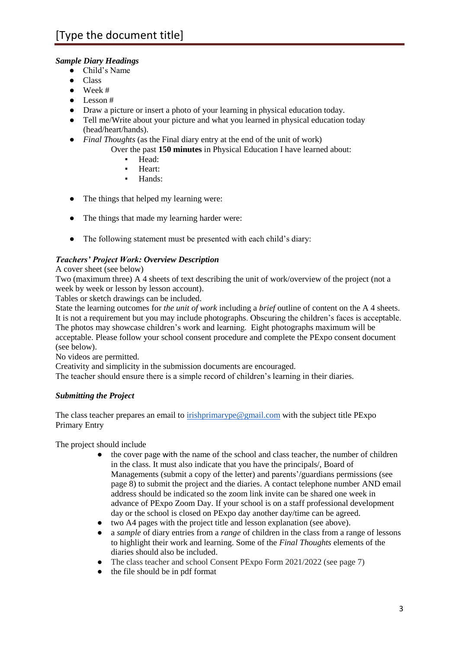#### *Sample Diary Headings*

- Child's Name
- Class
- $\bullet$  Week #
- Lesson #
- Draw a picture or insert a photo of your learning in physical education today.
- Tell me/Write about your picture and what you learned in physical education today (head/heart/hands).
- *Final Thoughts* (as the Final diary entry at the end of the unit of work)
	- Over the past **150 minutes** in Physical Education I have learned about:
		- Head:
		- Heart:
		- Hands:
- The things that helped my learning were:
- The things that made my learning harder were:
- The following statement must be presented with each child's diary:

#### *Teachers' Project Work: Overview Description*

#### A cover sheet (see below)

Two (maximum three) A 4 sheets of text describing the unit of work/overview of the project (not a week by week or lesson by lesson account).

Tables or sketch drawings can be included.

State the learning outcomes for *the unit of work* including a *brief* outline of content on the A 4 sheets. It is not a requirement but you may include photographs. Obscuring the children's faces is acceptable. The photos may showcase children's work and learning. Eight photographs maximum will be acceptable. Please follow your school consent procedure and complete the PExpo consent document (see below).

No videos are permitted.

Creativity and simplicity in the submission documents are encouraged.

The teacher should ensure there is a simple record of children's learning in their diaries.

#### *Submitting the Project*

The class teacher prepares an email to [irishprimarype@gmail.com](mailto:irishprimarype@gmail.com) with the subject title PExpo Primary Entry

The project should include

- the cover page with the name of the school and class teacher, the number of children in the class. It must also indicate that you have the principals/, Board of Managements (submit a copy of the letter) and parents'/guardians permissions (see page 8) to submit the project and the diaries. A contact telephone number AND email address should be indicated so the zoom link invite can be shared one week in advance of PExpo Zoom Day. If your school is on a staff professional development day or the school is closed on PExpo day another day/time can be agreed.
- two A4 pages with the project title and lesson explanation (see above).
- a *sample* of diary entries from a *range* of children in the class from a range of lessons to highlight their work and learning. Some of the *Final Thoughts* elements of the diaries should also be included.
- The class teacher and school Consent PExpo Form 2021/2022 (see page 7)
- the file should be in pdf format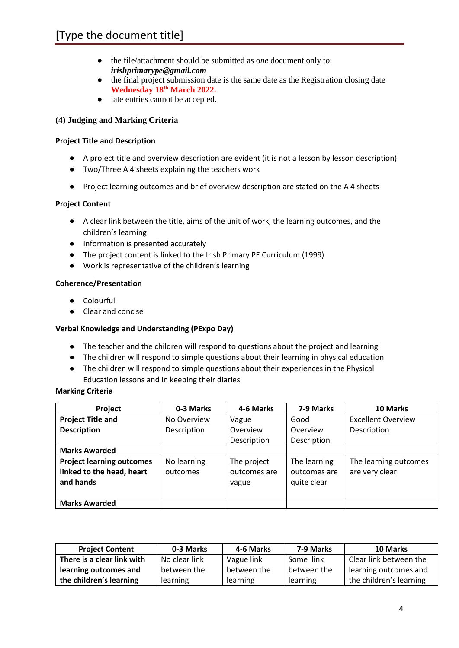- the file/attachment should be submitted as o*ne* document only to: *irishprimarype@gmail.com*
- the final project submission date is the same date as the Registration closing date **Wednesday 18th March 2022.**
- late entries cannot be accepted.

#### **(4) Judging and Marking Criteria**

#### **Project Title and Description**

- A project title and overview description are evident (it is not a lesson by lesson description)
- Two/Three A 4 sheets explaining the teachers work
- Project learning outcomes and brief overview description are stated on the A 4 sheets

#### **Project Content**

- A clear link between the title, aims of the unit of work, the learning outcomes, and the children's learning
- Information is presented accurately
- The project content is linked to the Irish Primary PE Curriculum (1999)
- Work is representative of the children's learning

#### **Coherence/Presentation**

- Colourful
- Clear and concise

#### **Verbal Knowledge and Understanding (PExpo Day)**

- The teacher and the children will respond to questions about the project and learning
- The children will respond to simple questions about their learning in physical education
- The children will respond to simple questions about their experiences in the Physical Education lessons and in keeping their diaries

#### **Marking Criteria**

| Project                          | 0-3 Marks   | 4-6 Marks    | 7-9 Marks    | 10 Marks                  |
|----------------------------------|-------------|--------------|--------------|---------------------------|
| <b>Project Title and</b>         | No Overview | Vague        | Good         | <b>Excellent Overview</b> |
| <b>Description</b>               | Description | Overview     | Overview     | Description               |
|                                  |             | Description  | Description  |                           |
| <b>Marks Awarded</b>             |             |              |              |                           |
| <b>Project learning outcomes</b> | No learning | The project  | The learning | The learning outcomes     |
| linked to the head, heart        | outcomes    | outcomes are | outcomes are | are very clear            |
| and hands                        |             | vague        | quite clear  |                           |
|                                  |             |              |              |                           |
| <b>Marks Awarded</b>             |             |              |              |                           |

| <b>Project Content</b>     | 0-3 Marks     | 4-6 Marks   | 7-9 Marks   | 10 Marks                |
|----------------------------|---------------|-------------|-------------|-------------------------|
| There is a clear link with | No clear link | Vague link  | Some link   | Clear link between the  |
| learning outcomes and      | between the   | between the | between the | learning outcomes and   |
| the children's learning    | learning      | learning    | learning    | the children's learning |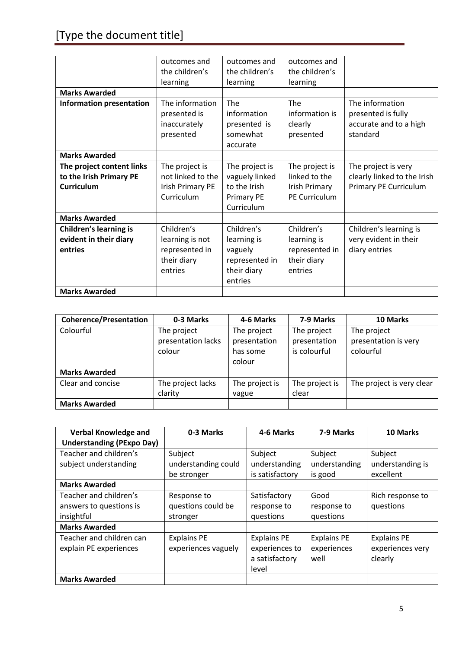# [Type the document title]

|                                 | outcomes and            | outcomes and      | outcomes and         |                             |
|---------------------------------|-------------------------|-------------------|----------------------|-----------------------------|
|                                 |                         |                   |                      |                             |
|                                 | the children's          | the children's    | the children's       |                             |
|                                 | learning                | learning          | learning             |                             |
| <b>Marks Awarded</b>            |                         |                   |                      |                             |
| <b>Information presentation</b> | The information         | The               | The                  | The information             |
|                                 | presented is            | information       | information is       | presented is fully          |
|                                 | inaccurately            | presented is      | clearly              | accurate and to a high      |
|                                 |                         | somewhat          |                      | standard                    |
|                                 | presented               |                   | presented            |                             |
|                                 |                         | accurate          |                      |                             |
| <b>Marks Awarded</b>            |                         |                   |                      |                             |
| The project content links       | The project is          | The project is    | The project is       | The project is very         |
| to the Irish Primary PE         | not linked to the       | vaguely linked    | linked to the        | clearly linked to the Irish |
| <b>Curriculum</b>               | <b>Irish Primary PE</b> | to the Irish      | Irish Primary        | Primary PE Curriculum       |
|                                 | Curriculum              | <b>Primary PE</b> | <b>PE Curriculum</b> |                             |
|                                 |                         | Curriculum        |                      |                             |
| <b>Marks Awarded</b>            |                         |                   |                      |                             |
| <b>Children's learning is</b>   | Children's              | Children's        | Children's           | Children's learning is      |
| evident in their diary          | learning is not         | learning is       | learning is          | very evident in their       |
| entries                         | represented in          | vaguely           | represented in       | diary entries               |
|                                 | their diary             | represented in    | their diary          |                             |
|                                 | entries                 | their diary       | entries              |                             |
|                                 |                         | entries           |                      |                             |
|                                 |                         |                   |                      |                             |
| <b>Marks Awarded</b>            |                         |                   |                      |                             |

| <b>Coherence/Presentation</b> | 0-3 Marks                                   | 4-6 Marks                                         | 7-9 Marks                                   | 10 Marks                                         |
|-------------------------------|---------------------------------------------|---------------------------------------------------|---------------------------------------------|--------------------------------------------------|
| Colourful                     | The project<br>presentation lacks<br>colour | The project<br>presentation<br>has some<br>colour | The project<br>presentation<br>is colourful | The project<br>presentation is very<br>colourful |
| <b>Marks Awarded</b>          |                                             |                                                   |                                             |                                                  |
| Clear and concise             | The project lacks<br>clarity                | The project is<br>vague                           | The project is<br>clear                     | The project is very clear                        |
| <b>Marks Awarded</b>          |                                             |                                                   |                                             |                                                  |

| <b>Verbal Knowledge and</b><br><b>Understanding (PExpo Day)</b> | 0-3 Marks                                     | 4-6 Marks                                                       | 7-9 Marks                                 | 10 Marks                                          |
|-----------------------------------------------------------------|-----------------------------------------------|-----------------------------------------------------------------|-------------------------------------------|---------------------------------------------------|
| Teacher and children's<br>subject understanding                 | Subject<br>understanding could<br>be stronger | Subject<br>understanding<br>is satisfactory                     | Subject<br>understanding<br>is good       | Subject<br>understanding is<br>excellent          |
| <b>Marks Awarded</b>                                            |                                               |                                                                 |                                           |                                                   |
| Teacher and children's<br>answers to questions is<br>insightful | Response to<br>questions could be<br>stronger | Satisfactory<br>response to<br>questions                        | Good<br>response to<br>questions          | Rich response to<br>questions                     |
| <b>Marks Awarded</b>                                            |                                               |                                                                 |                                           |                                                   |
| Teacher and children can<br>explain PE experiences              | <b>Explains PE</b><br>experiences vaguely     | <b>Explains PE</b><br>experiences to<br>a satisfactory<br>level | <b>Explains PE</b><br>experiences<br>well | <b>Explains PE</b><br>experiences very<br>clearly |
| <b>Marks Awarded</b>                                            |                                               |                                                                 |                                           |                                                   |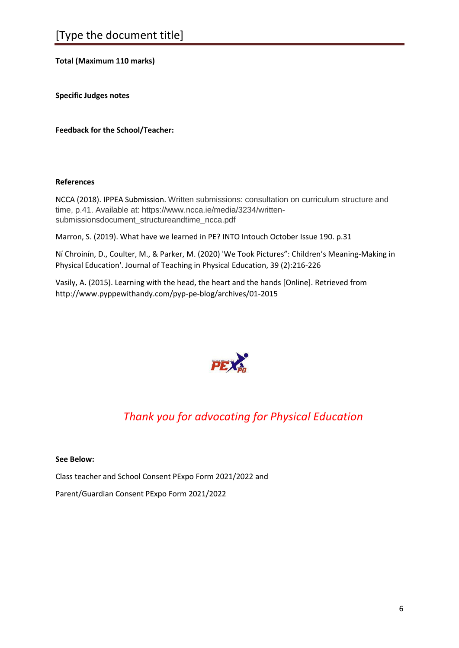#### **Total (Maximum 110 marks)**

**Specific Judges notes**

**Feedback for the School/Teacher:**

#### **References**

NCCA (2018). IPPEA Submission. Written submissions: consultation on curriculum structure and time, p.41. Available at: https://www.ncca.ie/media/3234/writtensubmissionsdocument\_structureandtime\_ncca.pdf

Marron, S. (2019). What have we learned in PE? INTO Intouch October Issue 190. p.31

Ní Chroinín, D., Coulter, M., & Parker, M. (2020) 'We Took Pictures": Children's Meaning-Making in Physical Education'. Journal of Teaching in Physical Education, 39 (2):216-226

Vasily, A. (2015). Learning with the head, the heart and the hands [Online]. Retrieved from http://www.pyppewithandy.com/pyp-pe-blog/archives/01-2015



## *Thank you for advocating for Physical Education*

#### **See Below:**

Class teacher and School Consent PExpo Form 2021/2022 and

Parent/Guardian Consent PExpo Form 2021/2022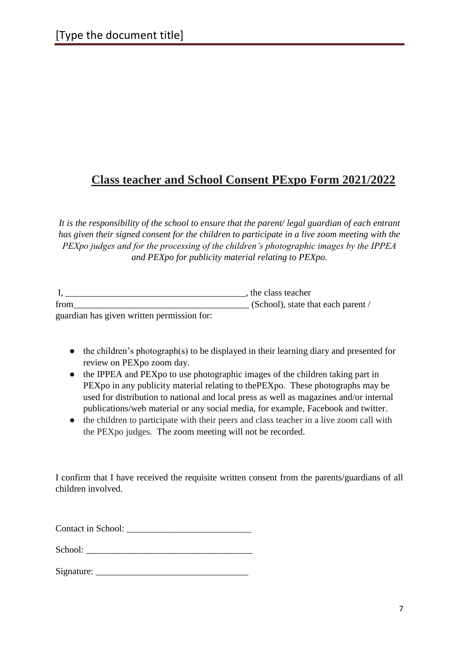### **Class teacher and School Consent PExpo Form 2021/2022**

*It is the responsibility of the school to ensure that the parent/ legal guardian of each entrant has given their signed consent for the children to participate in a live zoom meeting with the PEXpo judges and for the processing of the children's photographic images by the IPPEA and PEXpo for publicity material relating to PEXpo.*

|                                            | , the class teacher                |
|--------------------------------------------|------------------------------------|
| from                                       | (School), state that each parent / |
| guardian has given written permission for: |                                    |

- the children's photograph(s) to be displayed in their learning diary and presented for review on PEXpo zoom day.
- the IPPEA and PEXpo to use photographic images of the children taking part in PEXpo in any publicity material relating to thePEXpo. These photographs may be used for distribution to national and local press as well as magazines and/or internal publications/web material or any social media, for example, Facebook and twitter.
- the children to participate with their peers and class teacher in a live zoom call with the PEXpo judges. The zoom meeting will not be recorded.

I confirm that I have received the requisite written consent from the parents/guardians of all children involved.

Contact in School:

School:

 $Signature:$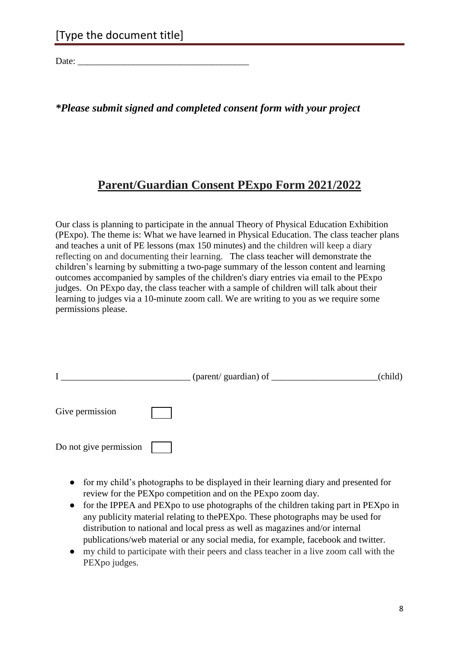Date:  $\frac{1}{\sqrt{1-\frac{1}{2}}}$ 

### *\*Please submit signed and completed consent form with your project*

### **Parent/Guardian Consent PExpo Form 2021/2022**

Our class is planning to participate in the annual Theory of Physical Education Exhibition (PExpo). The theme is: What we have learned in Physical Education. The class teacher plans and teaches a unit of PE lessons (max 150 minutes) and the children will keep a diary reflecting on and documenting their learning. The class teacher will demonstrate the children's learning by submitting a two-page summary of the lesson content and learning outcomes accompanied by samples of the children's diary entries via email to the PExpo judges. On PExpo day, the class teacher with a sample of children will talk about their learning to judges via a 10-minute zoom call. We are writing to you as we require some permissions please.

|                        | (parent/ guardian) of _______ | (child) |
|------------------------|-------------------------------|---------|
| Give permission        |                               |         |
| Do not give permission |                               |         |

- for my child's photographs to be displayed in their learning diary and presented for review for the PEXpo competition and on the PExpo zoom day.
- for the IPPEA and PEXpo to use photographs of the children taking part in PEXpo in any publicity material relating to thePEXpo. These photographs may be used for distribution to national and local press as well as magazines and/or internal publications/web material or any social media, for example, facebook and twitter.
- my child to participate with their peers and class teacher in a live zoom call with the PEXpo judges.